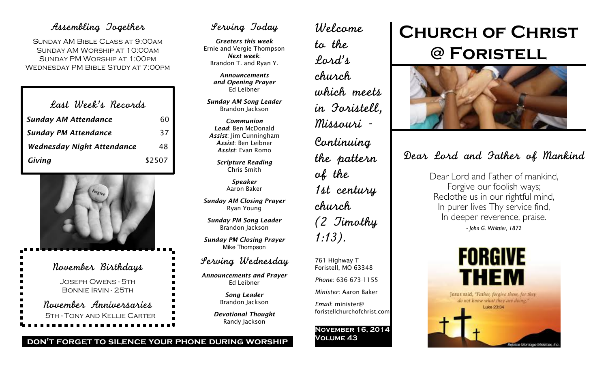## Assembling Together

Sunday AM Bible Class at 9:00am Sunday AM Worship at 10:00am Sunday PM Worship at 1:00pm Wednesday PM Bible Study at 7:00pm

| Last Week's Records               |        |
|-----------------------------------|--------|
| <b>Sunday AM Attendance</b>       | 60     |
| <b>Sunday PM Attendance</b>       | 37     |
| <b>Wednesday Night Attendance</b> | 48     |
| Giving                            | \$2507 |



## Serving Today

*Greeters this week* Ernie and Vergie Thompson *Next week*: Brandon T. and Ryan Y.

> *Announcements and Opening Prayer* Ed Leibner

*Sunday AM Song Leader* Brandon Jackson

*Communion Lead*: Ben McDonald *Assist*: Jim Cunningham *Assist*: Ben Leibner *Assist*: Evan Romo

> *Scripture Reading* Chris Smith

> > *Speaker* Aaron Baker

*Sunday AM Closing Prayer* Ryan Young

*Sunday PM Song Leader* Brandon Jackson

*Sunday PM Closing Prayer* Mike Thompson

### Serving Wednesday

*Announcements and Prayer* Ed Leibner

> *Song Leader* Brandon Jackson

*Devotional Thought* Randy Jackson

Welcome to the Lord's church which meets in Foristell, Missouri - Continuing the pattern of the 1st century church (2 Timothy 1:13). 761 Highway T

Foristell, MO 63348 *Phone*: 636-673-1155

*Minister*: Aaron Baker

*Email*: minister@ foristellchurchofchrist.com

**November 16, 2014 Volume 43**

# **Church of Christ @ Foristell**



## Dear Lord and Father of Mankind

Dear Lord and Father of mankind, Forgive our foolish ways; Reclothe us in our rightful mind, In purer lives Thy service find, In deeper reverence, praise. *- John G. Whittier, 1872*



**don't forget to silence your phone during worship**